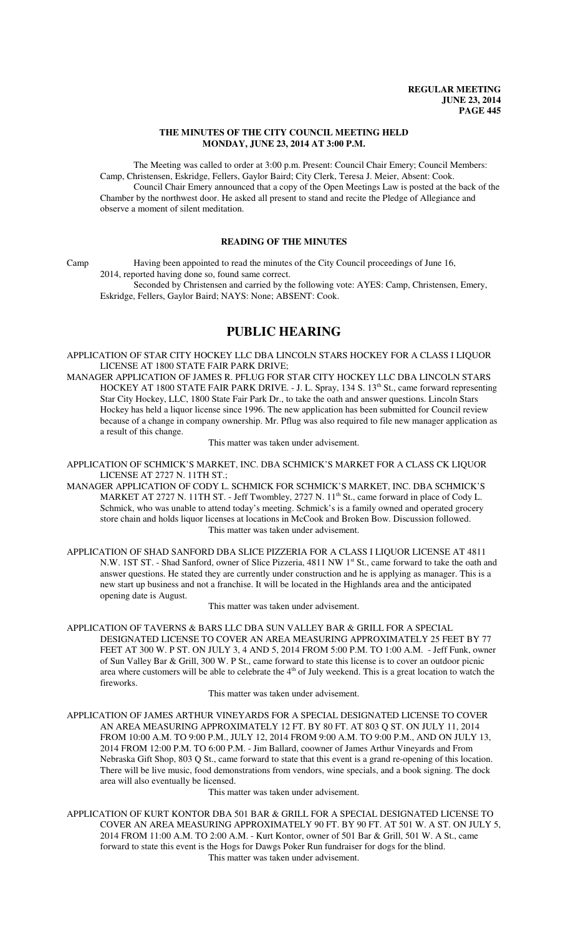### **THE MINUTES OF THE CITY COUNCIL MEETING HELD MONDAY, JUNE 23, 2014 AT 3:00 P.M.**

The Meeting was called to order at 3:00 p.m. Present: Council Chair Emery; Council Members: Camp, Christensen, Eskridge, Fellers, Gaylor Baird; City Clerk, Teresa J. Meier, Absent: Cook. Council Chair Emery announced that a copy of the Open Meetings Law is posted at the back of the Chamber by the northwest door. He asked all present to stand and recite the Pledge of Allegiance and observe a moment of silent meditation.

## **READING OF THE MINUTES**

Camp Having been appointed to read the minutes of the City Council proceedings of June 16, 2014, reported having done so, found same correct.

Seconded by Christensen and carried by the following vote: AYES: Camp, Christensen, Emery, Eskridge, Fellers, Gaylor Baird; NAYS: None; ABSENT: Cook.

# **PUBLIC HEARING**

APPLICATION OF STAR CITY HOCKEY LLC DBA LINCOLN STARS HOCKEY FOR A CLASS I LIQUOR LICENSE AT 1800 STATE FAIR PARK DRIVE;

MANAGER APPLICATION OF JAMES R. PFLUG FOR STAR CITY HOCKEY LLC DBA LINCOLN STARS HOCKEY AT 1800 STATE FAIR PARK DRIVE. - J. L. Spray, 134 S. 13<sup>th</sup> St., came forward representing Star City Hockey, LLC, 1800 State Fair Park Dr., to take the oath and answer questions. Lincoln Stars Hockey has held a liquor license since 1996. The new application has been submitted for Council review because of a change in company ownership. Mr. Pflug was also required to file new manager application as a result of this change.

This matter was taken under advisement.

APPLICATION OF SCHMICK'S MARKET, INC. DBA SCHMICK'S MARKET FOR A CLASS CK LIQUOR LICENSE AT 2727 N. 11TH ST.;

- MANAGER APPLICATION OF CODY L. SCHMICK FOR SCHMICK'S MARKET, INC. DBA SCHMICK'S MARKET AT 2727 N. 11TH ST. - Jeff Twombley, 2727 N. 11<sup>th</sup> St., came forward in place of Cody L. Schmick, who was unable to attend today's meeting. Schmick's is a family owned and operated grocery store chain and holds liquor licenses at locations in McCook and Broken Bow. Discussion followed. This matter was taken under advisement.
- APPLICATION OF SHAD SANFORD DBA SLICE PIZZERIA FOR A CLASS I LIQUOR LICENSE AT 4811 N.W. 1ST ST. - Shad Sanford, owner of Slice Pizzeria, 4811 NW 1<sup>st</sup> St., came forward to take the oath and answer questions. He stated they are currently under construction and he is applying as manager. This is a new start up business and not a franchise. It will be located in the Highlands area and the anticipated opening date is August.

This matter was taken under advisement.

APPLICATION OF TAVERNS & BARS LLC DBA SUN VALLEY BAR & GRILL FOR A SPECIAL DESIGNATED LICENSE TO COVER AN AREA MEASURING APPROXIMATELY 25 FEET BY 77 FEET AT 300 W. P ST. ON JULY 3, 4 AND 5, 2014 FROM 5:00 P.M. TO 1:00 A.M. - Jeff Funk, owner of Sun Valley Bar & Grill, 300 W. P St., came forward to state this license is to cover an outdoor picnic area where customers will be able to celebrate the  $4<sup>th</sup>$  of July weekend. This is a great location to watch the fireworks.

This matter was taken under advisement.

APPLICATION OF JAMES ARTHUR VINEYARDS FOR A SPECIAL DESIGNATED LICENSE TO COVER AN AREA MEASURING APPROXIMATELY 12 FT. BY 80 FT. AT 803 Q ST. ON JULY 11, 2014 FROM 10:00 A.M. TO 9:00 P.M., JULY 12, 2014 FROM 9:00 A.M. TO 9:00 P.M., AND ON JULY 13, 2014 FROM 12:00 P.M. TO 6:00 P.M. - Jim Ballard, coowner of James Arthur Vineyards and From Nebraska Gift Shop, 803 Q St., came forward to state that this event is a grand re-opening of this location. There will be live music, food demonstrations from vendors, wine specials, and a book signing. The dock area will also eventually be licensed.

This matter was taken under advisement.

APPLICATION OF KURT KONTOR DBA 501 BAR & GRILL FOR A SPECIAL DESIGNATED LICENSE TO COVER AN AREA MEASURING APPROXIMATELY 90 FT. BY 90 FT. AT 501 W. A ST. ON JULY 5, 2014 FROM 11:00 A.M. TO 2:00 A.M. - Kurt Kontor, owner of 501 Bar & Grill, 501 W. A St., came forward to state this event is the Hogs for Dawgs Poker Run fundraiser for dogs for the blind. This matter was taken under advisement.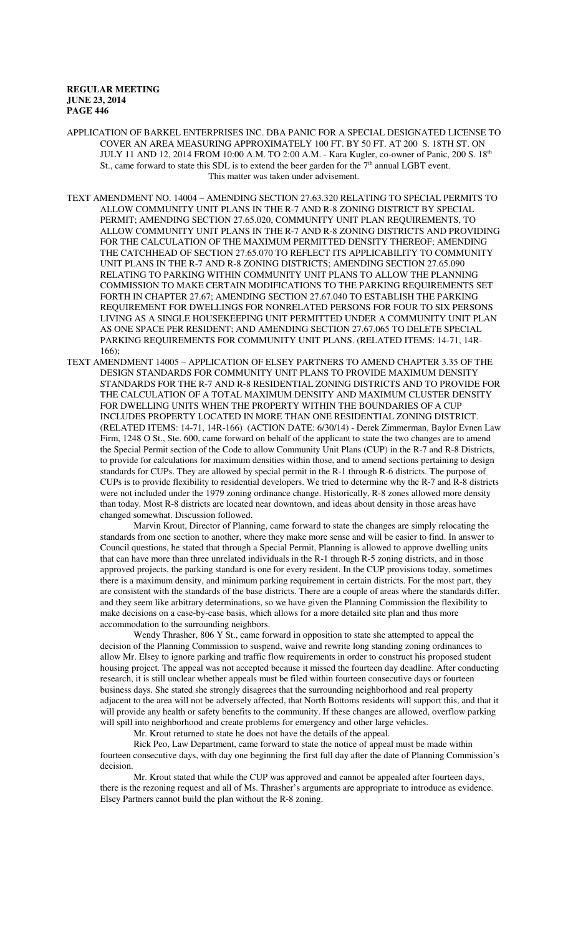APPLICATION OF BARKEL ENTERPRISES INC. DBA PANIC FOR A SPECIAL DESIGNATED LICENSE TO COVER AN AREA MEASURING APPROXIMATELY 100 FT. BY 50 FT. AT 200 S. 18TH ST. ON JULY 11 AND 12, 2014 FROM 10:00 A.M. TO 2:00 A.M. - Kara Kugler, co-owner of Panic, 200 S. 18th St., came forward to state this SDL is to extend the beer garden for the 7<sup>th</sup> annual LGBT event. This matter was taken under advisement.

TEXT AMENDMENT NO. 14004 – AMENDING SECTION 27.63.320 RELATING TO SPECIAL PERMITS TO ALLOW COMMUNITY UNIT PLANS IN THE R-7 AND R-8 ZONING DISTRICT BY SPECIAL PERMIT; AMENDING SECTION 27.65.020, COMMUNITY UNIT PLAN REQUIREMENTS, TO ALLOW COMMUNITY UNIT PLANS IN THE R-7 AND R-8 ZONING DISTRICTS AND PROVIDING FOR THE CALCULATION OF THE MAXIMUM PERMITTED DENSITY THEREOF; AMENDING THE CATCHHEAD OF SECTION 27.65.070 TO REFLECT ITS APPLICABILITY TO COMMUNITY UNIT PLANS IN THE R-7 AND R-8 ZONING DISTRICTS; AMENDING SECTION 27.65.090 RELATING TO PARKING WITHIN COMMUNITY UNIT PLANS TO ALLOW THE PLANNING COMMISSION TO MAKE CERTAIN MODIFICATIONS TO THE PARKING REQUIREMENTS SET FORTH IN CHAPTER 27.67; AMENDING SECTION 27.67.040 TO ESTABLISH THE PARKING REQUIREMENT FOR DWELLINGS FOR NONRELATED PERSONS FOR FOUR TO SIX PERSONS LIVING AS A SINGLE HOUSEKEEPING UNIT PERMITTED UNDER A COMMUNITY UNIT PLAN AS ONE SPACE PER RESIDENT; AND AMENDING SECTION 27.67.065 TO DELETE SPECIAL PARKING REQUIREMENTS FOR COMMUNITY UNIT PLANS. (RELATED ITEMS: 14-71, 14R-166);

TEXT AMENDMENT 14005 – APPLICATION OF ELSEY PARTNERS TO AMEND CHAPTER 3.35 OF THE DESIGN STANDARDS FOR COMMUNITY UNIT PLANS TO PROVIDE MAXIMUM DENSITY STANDARDS FOR THE R-7 AND R-8 RESIDENTIAL ZONING DISTRICTS AND TO PROVIDE FOR THE CALCULATION OF A TOTAL MAXIMUM DENSITY AND MAXIMUM CLUSTER DENSITY FOR DWELLING UNITS WHEN THE PROPERTY WITHIN THE BOUNDARIES OF A CUP INCLUDES PROPERTY LOCATED IN MORE THAN ONE RESIDENTIAL ZONING DISTRICT. (RELATED ITEMS: 14-71, 14R-166) (ACTION DATE: 6/30/14) - Derek Zimmerman, Baylor Evnen Law Firm, 1248 O St., Ste. 600, came forward on behalf of the applicant to state the two changes are to amend the Special Permit section of the Code to allow Community Unit Plans (CUP) in the R-7 and R-8 Districts, to provide for calculations for maximum densities within those, and to amend sections pertaining to design standards for CUPs. They are allowed by special permit in the R-1 through R-6 districts. The purpose of CUPs is to provide flexibility to residential developers. We tried to determine why the R-7 and R-8 districts were not included under the 1979 zoning ordinance change. Historically, R-8 zones allowed more density than today. Most R-8 districts are located near downtown, and ideas about density in those areas have changed somewhat. Discussion followed.

Marvin Krout, Director of Planning, came forward to state the changes are simply relocating the standards from one section to another, where they make more sense and will be easier to find. In answer to Council questions, he stated that through a Special Permit, Planning is allowed to approve dwelling units that can have more than three unrelated individuals in the R-1 through R-5 zoning districts, and in those approved projects, the parking standard is one for every resident. In the CUP provisions today, sometimes there is a maximum density, and minimum parking requirement in certain districts. For the most part, they are consistent with the standards of the base districts. There are a couple of areas where the standards differ, and they seem like arbitrary determinations, so we have given the Planning Commission the flexibility to make decisions on a case-by-case basis, which allows for a more detailed site plan and thus more accommodation to the surrounding neighbors.

Wendy Thrasher, 806 Y St., came forward in opposition to state she attempted to appeal the decision of the Planning Commission to suspend, waive and rewrite long standing zoning ordinances to allow Mr. Elsey to ignore parking and traffic flow requirements in order to construct his proposed student housing project. The appeal was not accepted because it missed the fourteen day deadline. After conducting research, it is still unclear whether appeals must be filed within fourteen consecutive days or fourteen business days. She stated she strongly disagrees that the surrounding neighborhood and real property adjacent to the area will not be adversely affected, that North Bottoms residents will support this, and that it will provide any health or safety benefits to the community. If these changes are allowed, overflow parking will spill into neighborhood and create problems for emergency and other large vehicles.

Mr. Krout returned to state he does not have the details of the appeal.

Rick Peo, Law Department, came forward to state the notice of appeal must be made within fourteen consecutive days, with day one beginning the first full day after the date of Planning Commission's decision.

Mr. Krout stated that while the CUP was approved and cannot be appealed after fourteen days, there is the rezoning request and all of Ms. Thrasher's arguments are appropriate to introduce as evidence. Elsey Partners cannot build the plan without the R-8 zoning.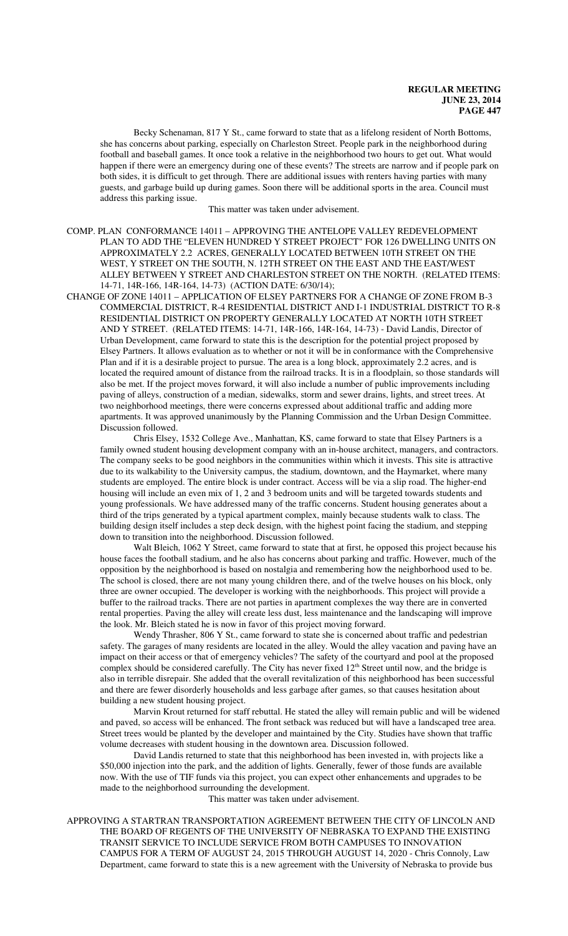Becky Schenaman, 817 Y St., came forward to state that as a lifelong resident of North Bottoms, she has concerns about parking, especially on Charleston Street. People park in the neighborhood during football and baseball games. It once took a relative in the neighborhood two hours to get out. What would happen if there were an emergency during one of these events? The streets are narrow and if people park on both sides, it is difficult to get through. There are additional issues with renters having parties with many guests, and garbage build up during games. Soon there will be additional sports in the area. Council must address this parking issue.

This matter was taken under advisement.

- COMP. PLAN CONFORMANCE 14011 APPROVING THE ANTELOPE VALLEY REDEVELOPMENT PLAN TO ADD THE "ELEVEN HUNDRED Y STREET PROJECT" FOR 126 DWELLING UNITS ON APPROXIMATELY 2.2 ACRES, GENERALLY LOCATED BETWEEN 10TH STREET ON THE WEST, Y STREET ON THE SOUTH, N. 12TH STREET ON THE EAST AND THE EAST/WEST ALLEY BETWEEN Y STREET AND CHARLESTON STREET ON THE NORTH. (RELATED ITEMS: 14-71, 14R-166, 14R-164, 14-73) (ACTION DATE: 6/30/14);
- CHANGE OF ZONE 14011 APPLICATION OF ELSEY PARTNERS FOR A CHANGE OF ZONE FROM B-3 COMMERCIAL DISTRICT, R-4 RESIDENTIAL DISTRICT AND I-1 INDUSTRIAL DISTRICT TO R-8 RESIDENTIAL DISTRICT ON PROPERTY GENERALLY LOCATED AT NORTH 10TH STREET AND Y STREET. (RELATED ITEMS: 14-71, 14R-166, 14R-164, 14-73) - David Landis, Director of Urban Development, came forward to state this is the description for the potential project proposed by Elsey Partners. It allows evaluation as to whether or not it will be in conformance with the Comprehensive Plan and if it is a desirable project to pursue. The area is a long block, approximately 2.2 acres, and is located the required amount of distance from the railroad tracks. It is in a floodplain, so those standards will also be met. If the project moves forward, it will also include a number of public improvements including paving of alleys, construction of a median, sidewalks, storm and sewer drains, lights, and street trees. At two neighborhood meetings, there were concerns expressed about additional traffic and adding more apartments. It was approved unanimously by the Planning Commission and the Urban Design Committee. Discussion followed.

Chris Elsey, 1532 College Ave., Manhattan, KS, came forward to state that Elsey Partners is a family owned student housing development company with an in-house architect, managers, and contractors. The company seeks to be good neighbors in the communities within which it invests. This site is attractive due to its walkability to the University campus, the stadium, downtown, and the Haymarket, where many students are employed. The entire block is under contract. Access will be via a slip road. The higher-end housing will include an even mix of 1, 2 and 3 bedroom units and will be targeted towards students and young professionals. We have addressed many of the traffic concerns. Student housing generates about a third of the trips generated by a typical apartment complex, mainly because students walk to class. The building design itself includes a step deck design, with the highest point facing the stadium, and stepping down to transition into the neighborhood. Discussion followed.

Walt Bleich, 1062 Y Street, came forward to state that at first, he opposed this project because his house faces the football stadium, and he also has concerns about parking and traffic. However, much of the opposition by the neighborhood is based on nostalgia and remembering how the neighborhood used to be. The school is closed, there are not many young children there, and of the twelve houses on his block, only three are owner occupied. The developer is working with the neighborhoods. This project will provide a buffer to the railroad tracks. There are not parties in apartment complexes the way there are in converted rental properties. Paving the alley will create less dust, less maintenance and the landscaping will improve the look. Mr. Bleich stated he is now in favor of this project moving forward.

Wendy Thrasher, 806 Y St., came forward to state she is concerned about traffic and pedestrian safety. The garages of many residents are located in the alley. Would the alley vacation and paving have an impact on their access or that of emergency vehicles? The safety of the courtyard and pool at the proposed complex should be considered carefully. The City has never fixed  $12<sup>th</sup>$  Street until now, and the bridge is also in terrible disrepair. She added that the overall revitalization of this neighborhood has been successful and there are fewer disorderly households and less garbage after games, so that causes hesitation about building a new student housing project.

Marvin Krout returned for staff rebuttal. He stated the alley will remain public and will be widened and paved, so access will be enhanced. The front setback was reduced but will have a landscaped tree area. Street trees would be planted by the developer and maintained by the City. Studies have shown that traffic volume decreases with student housing in the downtown area. Discussion followed.

David Landis returned to state that this neighborhood has been invested in, with projects like a \$50,000 injection into the park, and the addition of lights. Generally, fewer of those funds are available now. With the use of TIF funds via this project, you can expect other enhancements and upgrades to be made to the neighborhood surrounding the development.

This matter was taken under advisement.

APPROVING A STARTRAN TRANSPORTATION AGREEMENT BETWEEN THE CITY OF LINCOLN AND THE BOARD OF REGENTS OF THE UNIVERSITY OF NEBRASKA TO EXPAND THE EXISTING TRANSIT SERVICE TO INCLUDE SERVICE FROM BOTH CAMPUSES TO INNOVATION CAMPUS FOR A TERM OF AUGUST 24, 2015 THROUGH AUGUST 14, 2020 - Chris Connoly, Law Department, came forward to state this is a new agreement with the University of Nebraska to provide bus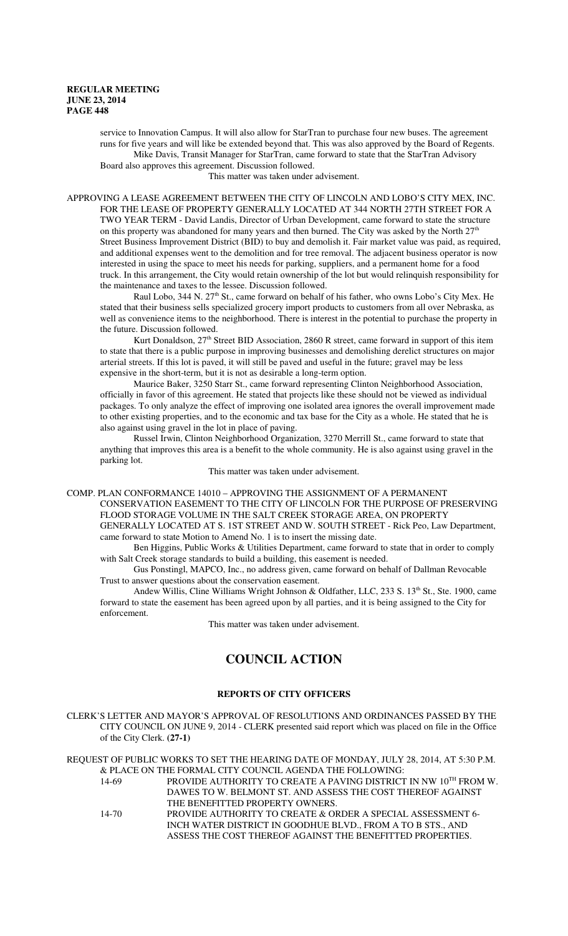service to Innovation Campus. It will also allow for StarTran to purchase four new buses. The agreement runs for five years and will like be extended beyond that. This was also approved by the Board of Regents. Mike Davis, Transit Manager for StarTran, came forward to state that the StarTran Advisory Board also approves this agreement. Discussion followed.

This matter was taken under advisement.

APPROVING A LEASE AGREEMENT BETWEEN THE CITY OF LINCOLN AND LOBO'S CITY MEX, INC. FOR THE LEASE OF PROPERTY GENERALLY LOCATED AT 344 NORTH 27TH STREET FOR A TWO YEAR TERM - David Landis, Director of Urban Development, came forward to state the structure on this property was abandoned for many years and then burned. The City was asked by the North 27<sup>th</sup> Street Business Improvement District (BID) to buy and demolish it. Fair market value was paid, as required, and additional expenses went to the demolition and for tree removal. The adjacent business operator is now interested in using the space to meet his needs for parking, suppliers, and a permanent home for a food truck. In this arrangement, the City would retain ownership of the lot but would relinquish responsibility for the maintenance and taxes to the lessee. Discussion followed.

Raul Lobo, 344 N. 27<sup>th</sup> St., came forward on behalf of his father, who owns Lobo's City Mex. He stated that their business sells specialized grocery import products to customers from all over Nebraska, as well as convenience items to the neighborhood. There is interest in the potential to purchase the property in the future. Discussion followed.

Kurt Donaldson,  $27<sup>th</sup>$  Street BID Association, 2860 R street, came forward in support of this item to state that there is a public purpose in improving businesses and demolishing derelict structures on major arterial streets. If this lot is paved, it will still be paved and useful in the future; gravel may be less expensive in the short-term, but it is not as desirable a long-term option.

Maurice Baker, 3250 Starr St., came forward representing Clinton Neighborhood Association, officially in favor of this agreement. He stated that projects like these should not be viewed as individual packages. To only analyze the effect of improving one isolated area ignores the overall improvement made to other existing properties, and to the economic and tax base for the City as a whole. He stated that he is also against using gravel in the lot in place of paving.

Russel Irwin, Clinton Neighborhood Organization, 3270 Merrill St., came forward to state that anything that improves this area is a benefit to the whole community. He is also against using gravel in the parking lot.

This matter was taken under advisement.

COMP. PLAN CONFORMANCE 14010 – APPROVING THE ASSIGNMENT OF A PERMANENT CONSERVATION EASEMENT TO THE CITY OF LINCOLN FOR THE PURPOSE OF PRESERVING FLOOD STORAGE VOLUME IN THE SALT CREEK STORAGE AREA, ON PROPERTY GENERALLY LOCATED AT S. 1ST STREET AND W. SOUTH STREET - Rick Peo, Law Department, came forward to state Motion to Amend No. 1 is to insert the missing date.

Ben Higgins, Public Works & Utilities Department, came forward to state that in order to comply with Salt Creek storage standards to build a building, this easement is needed.

Gus Ponstingl, MAPCO, Inc., no address given, came forward on behalf of Dallman Revocable Trust to answer questions about the conservation easement.

Andew Willis, Cline Williams Wright Johnson & Oldfather, LLC, 233 S. 13<sup>th</sup> St., Ste. 1900, came forward to state the easement has been agreed upon by all parties, and it is being assigned to the City for enforcement.

This matter was taken under advisement.

# **COUNCIL ACTION**

## **REPORTS OF CITY OFFICERS**

CLERK'S LETTER AND MAYOR'S APPROVAL OF RESOLUTIONS AND ORDINANCES PASSED BY THE CITY COUNCIL ON JUNE 9, 2014 - CLERK presented said report which was placed on file in the Office of the City Clerk. **(27-1)**

REQUEST OF PUBLIC WORKS TO SET THE HEARING DATE OF MONDAY, JULY 28, 2014, AT 5:30 P.M. & PLACE ON THE FORMAL CITY COUNCIL AGENDA THE FOLLOWING:

| 14-69 | PROVIDE AUTHORITY TO CREATE A PAVING DISTRICT IN NW 10TH FROM W. |
|-------|------------------------------------------------------------------|
|       | DAWES TO W. BELMONT ST. AND ASSESS THE COST THEREOF AGAINST      |
|       | THE BENEFITTED PROPERTY OWNERS.                                  |
| 14-70 | PROVIDE AUTHORITY TO CREATE & ORDER A SPECIAL ASSESSMENT 6-      |
|       | INCH WATER DISTRICT IN GOODHUE BLVD., FROM A TO B STS., AND      |
|       | ASSESS THE COST THEREOF AGAINST THE BENEFITTED PROPERTIES.       |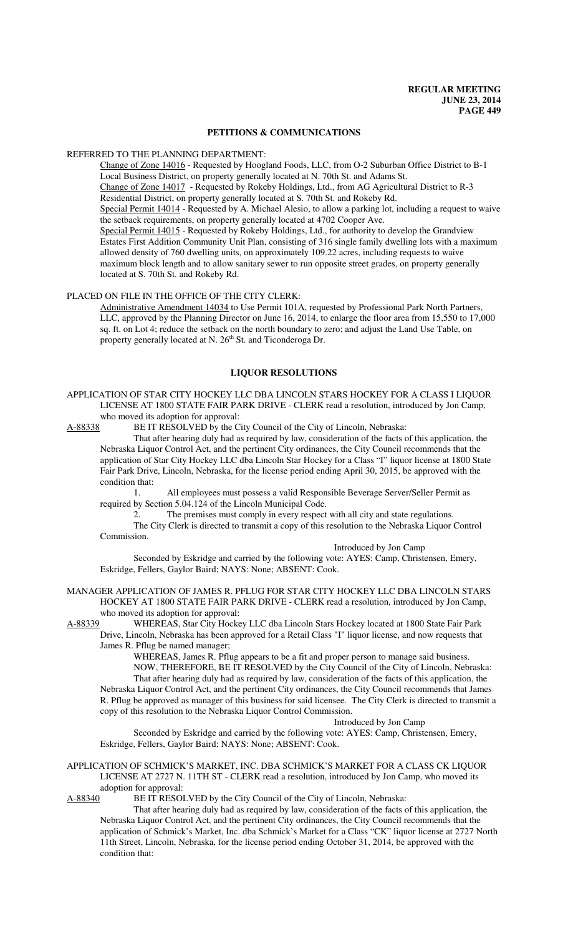#### **PETITIONS & COMMUNICATIONS**

#### REFERRED TO THE PLANNING DEPARTMENT:

Change of Zone 14016 - Requested by Hoogland Foods, LLC, from O-2 Suburban Office District to B-1 Local Business District, on property generally located at N. 70th St. and Adams St. Change of Zone 14017 - Requested by Rokeby Holdings, Ltd., from AG Agricultural District to R-3 Residential District, on property generally located at S. 70th St. and Rokeby Rd. Special Permit 14014 - Requested by A. Michael Alesio, to allow a parking lot, including a request to waive the setback requirements, on property generally located at 4702 Cooper Ave. Special Permit 14015 - Requested by Rokeby Holdings, Ltd., for authority to develop the Grandview Estates First Addition Community Unit Plan, consisting of 316 single family dwelling lots with a maximum allowed density of 760 dwelling units, on approximately 109.22 acres, including requests to waive maximum block length and to allow sanitary sewer to run opposite street grades, on property generally located at S. 70th St. and Rokeby Rd.

## PLACED ON FILE IN THE OFFICE OF THE CITY CLERK:

Administrative Amendment 14034 to Use Permit 101A, requested by Professional Park North Partners, LLC, approved by the Planning Director on June 16, 2014, to enlarge the floor area from 15,550 to 17,000 sq. ft. on Lot 4; reduce the setback on the north boundary to zero; and adjust the Land Use Table, on property generally located at N. 26<sup>th</sup> St. and Ticonderoga Dr.

### **LIQUOR RESOLUTIONS**

APPLICATION OF STAR CITY HOCKEY LLC DBA LINCOLN STARS HOCKEY FOR A CLASS I LIQUOR LICENSE AT 1800 STATE FAIR PARK DRIVE - CLERK read a resolution, introduced by Jon Camp, who moved its adoption for approval:

A-88338 BE IT RESOLVED by the City Council of the City of Lincoln, Nebraska:

That after hearing duly had as required by law, consideration of the facts of this application, the Nebraska Liquor Control Act, and the pertinent City ordinances, the City Council recommends that the application of Star City Hockey LLC dba Lincoln Star Hockey for a Class "I" liquor license at 1800 State Fair Park Drive, Lincoln, Nebraska, for the license period ending April 30, 2015, be approved with the condition that:

1. All employees must possess a valid Responsible Beverage Server/Seller Permit as required by Section 5.04.124 of the Lincoln Municipal Code.

2. The premises must comply in every respect with all city and state regulations. The City Clerk is directed to transmit a copy of this resolution to the Nebraska Liquor Control Commission.

#### Introduced by Jon Camp

Seconded by Eskridge and carried by the following vote: AYES: Camp, Christensen, Emery, Eskridge, Fellers, Gaylor Baird; NAYS: None; ABSENT: Cook.

MANAGER APPLICATION OF JAMES R. PFLUG FOR STAR CITY HOCKEY LLC DBA LINCOLN STARS HOCKEY AT 1800 STATE FAIR PARK DRIVE - CLERK read a resolution, introduced by Jon Camp, who moved its adoption for approval:

A-88339 WHEREAS, Star City Hockey LLC dba Lincoln Stars Hockey located at 1800 State Fair Park

Drive, Lincoln, Nebraska has been approved for a Retail Class "I" liquor license, and now requests that James R. Pflug be named manager;

WHEREAS, James R. Pflug appears to be a fit and proper person to manage said business. NOW, THEREFORE, BE IT RESOLVED by the City Council of the City of Lincoln, Nebraska: That after hearing duly had as required by law, consideration of the facts of this application, the Nebraska Liquor Control Act, and the pertinent City ordinances, the City Council recommends that James

R. Pflug be approved as manager of this business for said licensee. The City Clerk is directed to transmit a copy of this resolution to the Nebraska Liquor Control Commission. Introduced by Jon Camp

Seconded by Eskridge and carried by the following vote: AYES: Camp, Christensen, Emery, Eskridge, Fellers, Gaylor Baird; NAYS: None; ABSENT: Cook.

#### APPLICATION OF SCHMICK'S MARKET, INC. DBA SCHMICK'S MARKET FOR A CLASS CK LIQUOR LICENSE AT 2727 N. 11TH ST - CLERK read a resolution, introduced by Jon Camp, who moved its adoption for approval:

A-88340 BE IT RESOLVED by the City Council of the City of Lincoln, Nebraska:

That after hearing duly had as required by law, consideration of the facts of this application, the Nebraska Liquor Control Act, and the pertinent City ordinances, the City Council recommends that the application of Schmick's Market, Inc. dba Schmick's Market for a Class "CK" liquor license at 2727 North 11th Street, Lincoln, Nebraska, for the license period ending October 31, 2014, be approved with the condition that: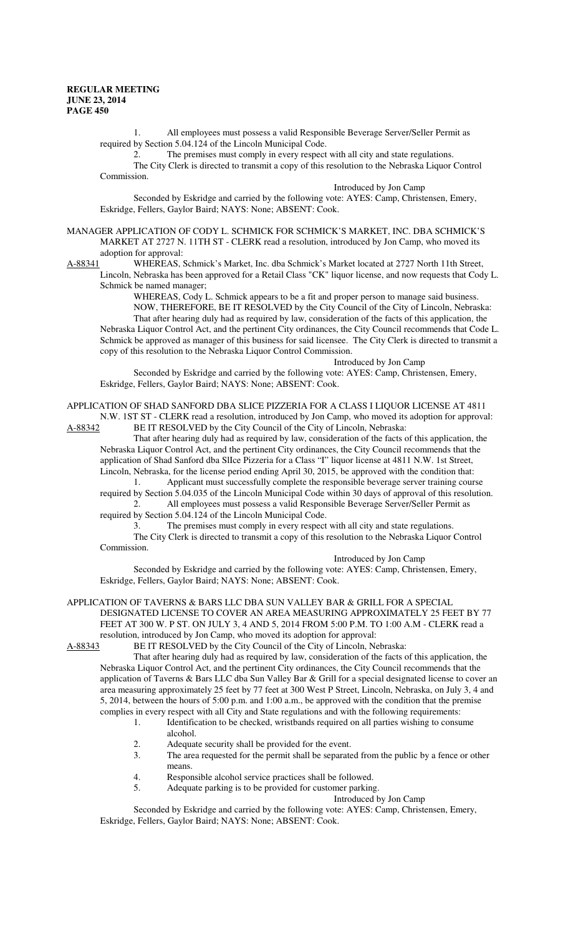1. All employees must possess a valid Responsible Beverage Server/Seller Permit as required by Section 5.04.124 of the Lincoln Municipal Code.

2. The premises must comply in every respect with all city and state regulations. The City Clerk is directed to transmit a copy of this resolution to the Nebraska Liquor Control Commission.

Introduced by Jon Camp

Seconded by Eskridge and carried by the following vote: AYES: Camp, Christensen, Emery, Eskridge, Fellers, Gaylor Baird; NAYS: None; ABSENT: Cook.

MANAGER APPLICATION OF CODY L. SCHMICK FOR SCHMICK'S MARKET, INC. DBA SCHMICK'S MARKET AT 2727 N. 11TH ST - CLERK read a resolution, introduced by Jon Camp, who moved its

adoption for approval:<br>A-88341 WHEREAS. WHEREAS, Schmick's Market, Inc. dba Schmick's Market located at 2727 North 11th Street, Lincoln, Nebraska has been approved for a Retail Class "CK" liquor license, and now requests that Cody L.

Schmick be named manager;

WHEREAS, Cody L. Schmick appears to be a fit and proper person to manage said business. NOW, THEREFORE, BE IT RESOLVED by the City Council of the City of Lincoln, Nebraska:

That after hearing duly had as required by law, consideration of the facts of this application, the Nebraska Liquor Control Act, and the pertinent City ordinances, the City Council recommends that Code L. Schmick be approved as manager of this business for said licensee. The City Clerk is directed to transmit a copy of this resolution to the Nebraska Liquor Control Commission.

Introduced by Jon Camp

Seconded by Eskridge and carried by the following vote: AYES: Camp, Christensen, Emery, Eskridge, Fellers, Gaylor Baird; NAYS: None; ABSENT: Cook.

APPLICATION OF SHAD SANFORD DBA SLICE PIZZERIA FOR A CLASS I LIQUOR LICENSE AT 4811 N.W. 1ST ST - CLERK read a resolution, introduced by Jon Camp, who moved its adoption for approval:

A-88342 BE IT RESOLVED by the City Council of the City of Lincoln, Nebraska:

That after hearing duly had as required by law, consideration of the facts of this application, the Nebraska Liquor Control Act, and the pertinent City ordinances, the City Council recommends that the application of Shad Sanford dba SlIce Pizzeria for a Class "I" liquor license at 4811 N.W. 1st Street,

Lincoln, Nebraska, for the license period ending April 30, 2015, be approved with the condition that: 1. Applicant must successfully complete the responsible beverage server training course

required by Section 5.04.035 of the Lincoln Municipal Code within 30 days of approval of this resolution. 2. All employees must possess a valid Responsible Beverage Server/Seller Permit as required by Section 5.04.124 of the Lincoln Municipal Code.

3. The premises must comply in every respect with all city and state regulations.

The City Clerk is directed to transmit a copy of this resolution to the Nebraska Liquor Control Commission.

Introduced by Jon Camp

Seconded by Eskridge and carried by the following vote: AYES: Camp, Christensen, Emery, Eskridge, Fellers, Gaylor Baird; NAYS: None; ABSENT: Cook.

APPLICATION OF TAVERNS & BARS LLC DBA SUN VALLEY BAR & GRILL FOR A SPECIAL DESIGNATED LICENSE TO COVER AN AREA MEASURING APPROXIMATELY 25 FEET BY 77 FEET AT 300 W. P ST. ON JULY 3, 4 AND 5, 2014 FROM 5:00 P.M. TO 1:00 A.M - CLERK read a resolution, introduced by Jon Camp, who moved its adoption for approval:<br>A-88343 BE IT RESOLVED by the City Council of the City of Lincoln. Ne

BE IT RESOLVED by the City Council of the City of Lincoln, Nebraska:

That after hearing duly had as required by law, consideration of the facts of this application, the Nebraska Liquor Control Act, and the pertinent City ordinances, the City Council recommends that the application of Taverns & Bars LLC dba Sun Valley Bar & Grill for a special designated license to cover an area measuring approximately 25 feet by 77 feet at 300 West P Street, Lincoln, Nebraska, on July 3, 4 and 5, 2014, between the hours of 5:00 p.m. and 1:00 a.m., be approved with the condition that the premise complies in every respect with all City and State regulations and with the following requirements:

- 1. Identification to be checked, wristbands required on all parties wishing to consume alcohol.
- 2. Adequate security shall be provided for the event.
- 3. The area requested for the permit shall be separated from the public by a fence or other means.
- 4. Responsible alcohol service practices shall be followed.
- 5. Adequate parking is to be provided for customer parking.

Introduced by Jon Camp

Seconded by Eskridge and carried by the following vote: AYES: Camp, Christensen, Emery, Eskridge, Fellers, Gaylor Baird; NAYS: None; ABSENT: Cook.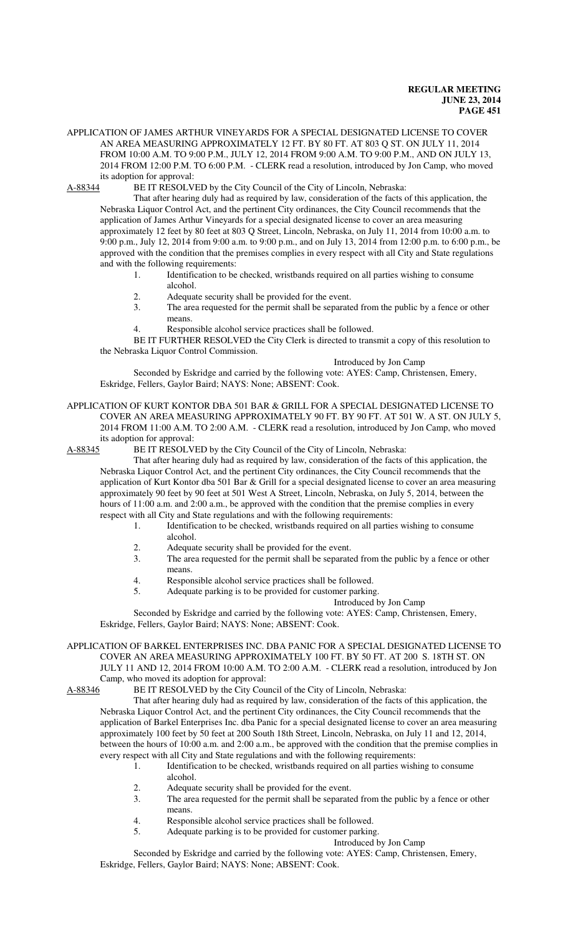APPLICATION OF JAMES ARTHUR VINEYARDS FOR A SPECIAL DESIGNATED LICENSE TO COVER AN AREA MEASURING APPROXIMATELY 12 FT. BY 80 FT. AT 803 Q ST. ON JULY 11, 2014 FROM 10:00 A.M. TO 9:00 P.M., JULY 12, 2014 FROM 9:00 A.M. TO 9:00 P.M., AND ON JULY 13, 2014 FROM 12:00 P.M. TO 6:00 P.M. - CLERK read a resolution, introduced by Jon Camp, who moved its adoption for approval:

A-88344 BE IT RESOLVED by the City Council of the City of Lincoln, Nebraska:

That after hearing duly had as required by law, consideration of the facts of this application, the Nebraska Liquor Control Act, and the pertinent City ordinances, the City Council recommends that the application of James Arthur Vineyards for a special designated license to cover an area measuring approximately 12 feet by 80 feet at 803 Q Street, Lincoln, Nebraska, on July 11, 2014 from 10:00 a.m. to 9:00 p.m., July 12, 2014 from 9:00 a.m. to 9:00 p.m., and on July 13, 2014 from 12:00 p.m. to 6:00 p.m., be approved with the condition that the premises complies in every respect with all City and State regulations and with the following requirements:

- 1. Identification to be checked, wristbands required on all parties wishing to consume alcohol.
- 2. Adequate security shall be provided for the event.<br>3 The area requested for the permit shall be separate
- The area requested for the permit shall be separated from the public by a fence or other means.
- 4. Responsible alcohol service practices shall be followed.

BE IT FURTHER RESOLVED the City Clerk is directed to transmit a copy of this resolution to the Nebraska Liquor Control Commission.

Introduced by Jon Camp

Seconded by Eskridge and carried by the following vote: AYES: Camp, Christensen, Emery, Eskridge, Fellers, Gaylor Baird; NAYS: None; ABSENT: Cook.

# APPLICATION OF KURT KONTOR DBA 501 BAR & GRILL FOR A SPECIAL DESIGNATED LICENSE TO COVER AN AREA MEASURING APPROXIMATELY 90 FT. BY 90 FT. AT 501 W. A ST. ON JULY 5, 2014 FROM 11:00 A.M. TO 2:00 A.M. - CLERK read a resolution, introduced by Jon Camp, who moved its adoption for approval:<br>A-88345 BE IT RESOLV.

BE IT RESOLVED by the City Council of the City of Lincoln, Nebraska:

That after hearing duly had as required by law, consideration of the facts of this application, the Nebraska Liquor Control Act, and the pertinent City ordinances, the City Council recommends that the application of Kurt Kontor dba 501 Bar & Grill for a special designated license to cover an area measuring approximately 90 feet by 90 feet at 501 West A Street, Lincoln, Nebraska, on July 5, 2014, between the hours of 11:00 a.m. and 2:00 a.m., be approved with the condition that the premise complies in every respect with all City and State regulations and with the following requirements:

- 1. Identification to be checked, wristbands required on all parties wishing to consume alcohol.
- 2. Adequate security shall be provided for the event.
- 3. The area requested for the permit shall be separated from the public by a fence or other means.
- 4. Responsible alcohol service practices shall be followed.
- 5. Adequate parking is to be provided for customer parking.

### Introduced by Jon Camp

Seconded by Eskridge and carried by the following vote: AYES: Camp, Christensen, Emery, Eskridge, Fellers, Gaylor Baird; NAYS: None; ABSENT: Cook.

#### APPLICATION OF BARKEL ENTERPRISES INC. DBA PANIC FOR A SPECIAL DESIGNATED LICENSE TO COVER AN AREA MEASURING APPROXIMATELY 100 FT. BY 50 FT. AT 200 S. 18TH ST. ON JULY 11 AND 12, 2014 FROM 10:00 A.M. TO 2:00 A.M. - CLERK read a resolution, introduced by Jon Camp, who moved its adoption for approval:

A-88346 BE IT RESOLVED by the City Council of the City of Lincoln, Nebraska:

That after hearing duly had as required by law, consideration of the facts of this application, the Nebraska Liquor Control Act, and the pertinent City ordinances, the City Council recommends that the application of Barkel Enterprises Inc. dba Panic for a special designated license to cover an area measuring approximately 100 feet by 50 feet at 200 South 18th Street, Lincoln, Nebraska, on July 11 and 12, 2014, between the hours of 10:00 a.m. and 2:00 a.m., be approved with the condition that the premise complies in every respect with all City and State regulations and with the following requirements:

- 1. Identification to be checked, wristbands required on all parties wishing to consume alcohol.
- 2. Adequate security shall be provided for the event.
- 3. The area requested for the permit shall be separated from the public by a fence or other means.
- 4. Responsible alcohol service practices shall be followed.
- 5. Adequate parking is to be provided for customer parking.

Introduced by Jon Camp

Seconded by Eskridge and carried by the following vote: AYES: Camp, Christensen, Emery, Eskridge, Fellers, Gaylor Baird; NAYS: None; ABSENT: Cook.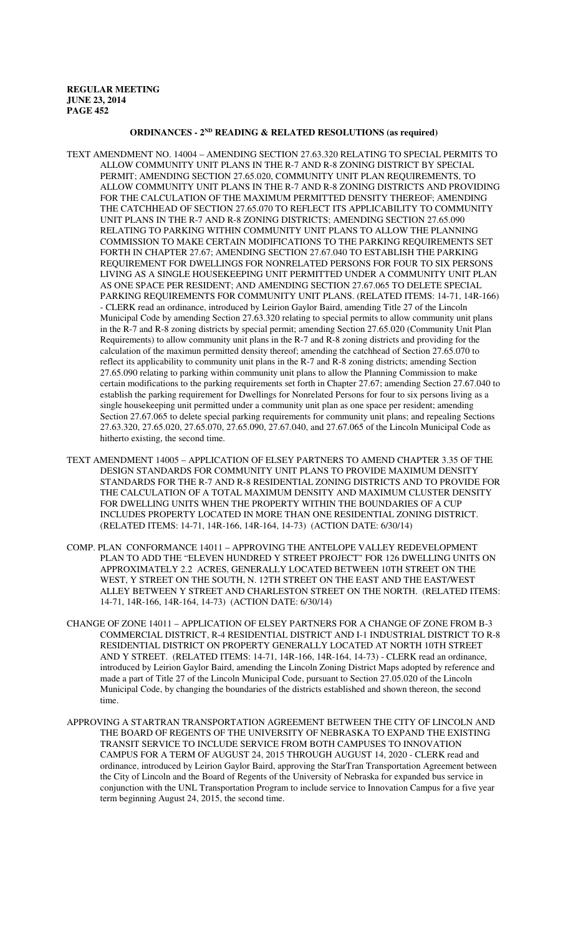## **ORDINANCES - 2ND READING & RELATED RESOLUTIONS (as required)**

- TEXT AMENDMENT NO. 14004 AMENDING SECTION 27.63.320 RELATING TO SPECIAL PERMITS TO ALLOW COMMUNITY UNIT PLANS IN THE R-7 AND R-8 ZONING DISTRICT BY SPECIAL PERMIT; AMENDING SECTION 27.65.020, COMMUNITY UNIT PLAN REQUIREMENTS, TO ALLOW COMMUNITY UNIT PLANS IN THE R-7 AND R-8 ZONING DISTRICTS AND PROVIDING FOR THE CALCULATION OF THE MAXIMUM PERMITTED DENSITY THEREOF; AMENDING THE CATCHHEAD OF SECTION 27.65.070 TO REFLECT ITS APPLICABILITY TO COMMUNITY UNIT PLANS IN THE R-7 AND R-8 ZONING DISTRICTS; AMENDING SECTION 27.65.090 RELATING TO PARKING WITHIN COMMUNITY UNIT PLANS TO ALLOW THE PLANNING COMMISSION TO MAKE CERTAIN MODIFICATIONS TO THE PARKING REQUIREMENTS SET FORTH IN CHAPTER 27.67; AMENDING SECTION 27.67.040 TO ESTABLISH THE PARKING REQUIREMENT FOR DWELLINGS FOR NONRELATED PERSONS FOR FOUR TO SIX PERSONS LIVING AS A SINGLE HOUSEKEEPING UNIT PERMITTED UNDER A COMMUNITY UNIT PLAN AS ONE SPACE PER RESIDENT; AND AMENDING SECTION 27.67.065 TO DELETE SPECIAL PARKING REQUIREMENTS FOR COMMUNITY UNIT PLANS. (RELATED ITEMS: 14-71, 14R-166) - CLERK read an ordinance, introduced by Leirion Gaylor Baird, amending Title 27 of the Lincoln Municipal Code by amending Section 27.63.320 relating to special permits to allow community unit plans in the R-7 and R-8 zoning districts by special permit; amending Section 27.65.020 (Community Unit Plan Requirements) to allow community unit plans in the R-7 and R-8 zoning districts and providing for the calculation of the maximun permitted density thereof; amending the catchhead of Section 27.65.070 to reflect its applicability to community unit plans in the R-7 and R-8 zoning districts; amending Section 27.65.090 relating to parking within community unit plans to allow the Planning Commission to make certain modifications to the parking requirements set forth in Chapter 27.67; amending Section 27.67.040 to establish the parking requirement for Dwellings for Nonrelated Persons for four to six persons living as a single housekeeping unit permitted under a community unit plan as one space per resident; amending Section 27.67.065 to delete special parking requirements for community unit plans; and repealing Sections 27.63.320, 27.65.020, 27.65.070, 27.65.090, 27.67.040, and 27.67.065 of the Lincoln Municipal Code as hitherto existing, the second time.
- TEXT AMENDMENT 14005 APPLICATION OF ELSEY PARTNERS TO AMEND CHAPTER 3.35 OF THE DESIGN STANDARDS FOR COMMUNITY UNIT PLANS TO PROVIDE MAXIMUM DENSITY STANDARDS FOR THE R-7 AND R-8 RESIDENTIAL ZONING DISTRICTS AND TO PROVIDE FOR THE CALCULATION OF A TOTAL MAXIMUM DENSITY AND MAXIMUM CLUSTER DENSITY FOR DWELLING UNITS WHEN THE PROPERTY WITHIN THE BOUNDARIES OF A CUP INCLUDES PROPERTY LOCATED IN MORE THAN ONE RESIDENTIAL ZONING DISTRICT. (RELATED ITEMS: 14-71, 14R-166, 14R-164, 14-73) (ACTION DATE: 6/30/14)
- COMP. PLAN CONFORMANCE 14011 APPROVING THE ANTELOPE VALLEY REDEVELOPMENT PLAN TO ADD THE "ELEVEN HUNDRED Y STREET PROJECT" FOR 126 DWELLING UNITS ON APPROXIMATELY 2.2 ACRES, GENERALLY LOCATED BETWEEN 10TH STREET ON THE WEST, Y STREET ON THE SOUTH, N. 12TH STREET ON THE EAST AND THE EAST/WEST ALLEY BETWEEN Y STREET AND CHARLESTON STREET ON THE NORTH. (RELATED ITEMS: 14-71, 14R-166, 14R-164, 14-73) (ACTION DATE: 6/30/14)
- CHANGE OF ZONE 14011 APPLICATION OF ELSEY PARTNERS FOR A CHANGE OF ZONE FROM B-3 COMMERCIAL DISTRICT, R-4 RESIDENTIAL DISTRICT AND I-1 INDUSTRIAL DISTRICT TO R-8 RESIDENTIAL DISTRICT ON PROPERTY GENERALLY LOCATED AT NORTH 10TH STREET AND Y STREET. (RELATED ITEMS: 14-71, 14R-166, 14R-164, 14-73) - CLERK read an ordinance, introduced by Leirion Gaylor Baird, amending the Lincoln Zoning District Maps adopted by reference and made a part of Title 27 of the Lincoln Municipal Code, pursuant to Section 27.05.020 of the Lincoln Municipal Code, by changing the boundaries of the districts established and shown thereon, the second time.
- APPROVING A STARTRAN TRANSPORTATION AGREEMENT BETWEEN THE CITY OF LINCOLN AND THE BOARD OF REGENTS OF THE UNIVERSITY OF NEBRASKA TO EXPAND THE EXISTING TRANSIT SERVICE TO INCLUDE SERVICE FROM BOTH CAMPUSES TO INNOVATION CAMPUS FOR A TERM OF AUGUST 24, 2015 THROUGH AUGUST 14, 2020 - CLERK read and ordinance, introduced by Leirion Gaylor Baird, approving the StarTran Transportation Agreement between the City of Lincoln and the Board of Regents of the University of Nebraska for expanded bus service in conjunction with the UNL Transportation Program to include service to Innovation Campus for a five year term beginning August 24, 2015, the second time.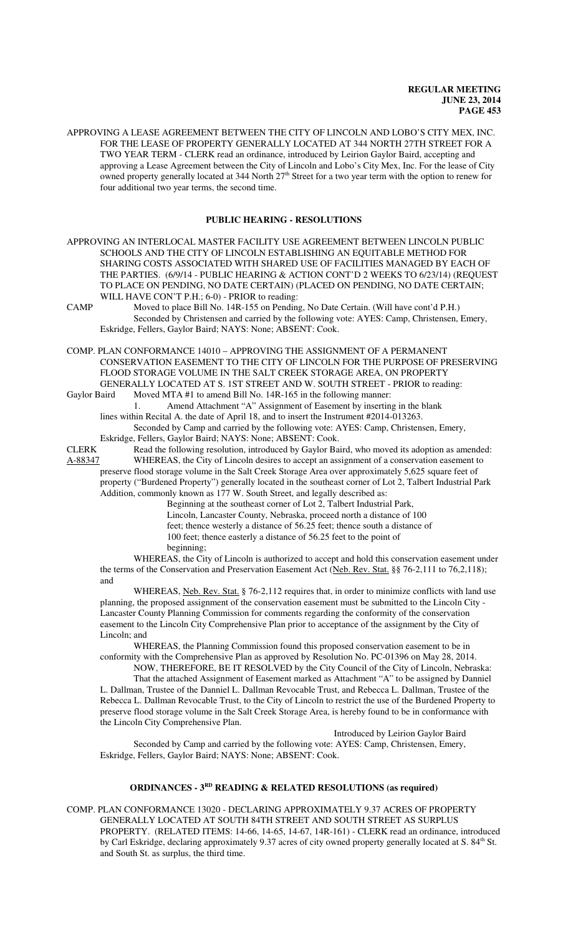APPROVING A LEASE AGREEMENT BETWEEN THE CITY OF LINCOLN AND LOBO'S CITY MEX, INC. FOR THE LEASE OF PROPERTY GENERALLY LOCATED AT 344 NORTH 27TH STREET FOR A TWO YEAR TERM - CLERK read an ordinance, introduced by Leirion Gaylor Baird, accepting and approving a Lease Agreement between the City of Lincoln and Lobo's City Mex, Inc. For the lease of City owned property generally located at 344 North  $27<sup>th</sup>$  Street for a two year term with the option to renew for four additional two year terms, the second time.

#### **PUBLIC HEARING - RESOLUTIONS**

APPROVING AN INTERLOCAL MASTER FACILITY USE AGREEMENT BETWEEN LINCOLN PUBLIC SCHOOLS AND THE CITY OF LINCOLN ESTABLISHING AN EQUITABLE METHOD FOR SHARING COSTS ASSOCIATED WITH SHARED USE OF FACILITIES MANAGED BY EACH OF THE PARTIES. (6/9/14 - PUBLIC HEARING & ACTION CONT'D 2 WEEKS TO 6/23/14) (REQUEST TO PLACE ON PENDING, NO DATE CERTAIN) (PLACED ON PENDING, NO DATE CERTAIN; WILL HAVE CON'T P.H.; 6-0) - PRIOR to reading:

CAMP Moved to place Bill No. 14R-155 on Pending, No Date Certain. (Will have cont'd P.H.) Seconded by Christensen and carried by the following vote: AYES: Camp, Christensen, Emery, Eskridge, Fellers, Gaylor Baird; NAYS: None; ABSENT: Cook.

COMP. PLAN CONFORMANCE 14010 – APPROVING THE ASSIGNMENT OF A PERMANENT CONSERVATION EASEMENT TO THE CITY OF LINCOLN FOR THE PURPOSE OF PRESERVING FLOOD STORAGE VOLUME IN THE SALT CREEK STORAGE AREA, ON PROPERTY GENERALLY LOCATED AT S. 1ST STREET AND W. SOUTH STREET - PRIOR to reading: Gaylor Baird Moved MTA #1 to amend Bill No. 14R-165 in the following manner:

1. Amend Attachment "A" Assignment of Easement by inserting in the blank lines within Recital A. the date of April 18, and to insert the Instrument #2014-013263. Seconded by Camp and carried by the following vote: AYES: Camp, Christensen, Emery,

Eskridge, Fellers, Gaylor Baird; NAYS: None; ABSENT: Cook.

CLERK Read the following resolution, introduced by Gaylor Baird, who moved its adoption as amended: A-88347 WHEREAS, the City of Lincoln desires to accept an assignment of a conservation easement to preserve flood storage volume in the Salt Creek Storage Area over approximately 5,625 square feet of property ("Burdened Property") generally located in the southeast corner of Lot 2, Talbert Industrial Park Addition, commonly known as 177 W. South Street, and legally described as:

Beginning at the southeast corner of Lot 2, Talbert Industrial Park, Lincoln, Lancaster County, Nebraska, proceed north a distance of 100 feet; thence westerly a distance of 56.25 feet; thence south a distance of 100 feet; thence easterly a distance of 56.25 feet to the point of beginning;

WHEREAS, the City of Lincoln is authorized to accept and hold this conservation easement under the terms of the Conservation and Preservation Easement Act (Neb. Rev. Stat. §§ 76-2,111 to 76,2,118); and

WHEREAS, Neb. Rev. Stat. § 76-2,112 requires that, in order to minimize conflicts with land use planning, the proposed assignment of the conservation easement must be submitted to the Lincoln City - Lancaster County Planning Commission for comments regarding the conformity of the conservation easement to the Lincoln City Comprehensive Plan prior to acceptance of the assignment by the City of Lincoln; and

WHEREAS, the Planning Commission found this proposed conservation easement to be in conformity with the Comprehensive Plan as approved by Resolution No. PC-01396 on May 28, 2014.

NOW, THEREFORE, BE IT RESOLVED by the City Council of the City of Lincoln, Nebraska: That the attached Assignment of Easement marked as Attachment "A" to be assigned by Danniel L. Dallman, Trustee of the Danniel L. Dallman Revocable Trust, and Rebecca L. Dallman, Trustee of the Rebecca L. Dallman Revocable Trust, to the City of Lincoln to restrict the use of the Burdened Property to

preserve flood storage volume in the Salt Creek Storage Area, is hereby found to be in conformance with the Lincoln City Comprehensive Plan. Introduced by Leirion Gaylor Baird

Seconded by Camp and carried by the following vote: AYES: Camp, Christensen, Emery, Eskridge, Fellers, Gaylor Baird; NAYS: None; ABSENT: Cook.

## **ORDINANCES - 3<sup>RD</sup>** READING & RELATED RESOLUTIONS (as required)

COMP. PLAN CONFORMANCE 13020 - DECLARING APPROXIMATELY 9.37 ACRES OF PROPERTY GENERALLY LOCATED AT SOUTH 84TH STREET AND SOUTH STREET AS SURPLUS PROPERTY. (RELATED ITEMS: 14-66, 14-65, 14-67, 14R-161) - CLERK read an ordinance, introduced by Carl Eskridge, declaring approximately 9.37 acres of city owned property generally located at S. 84<sup>th</sup> St. and South St. as surplus, the third time.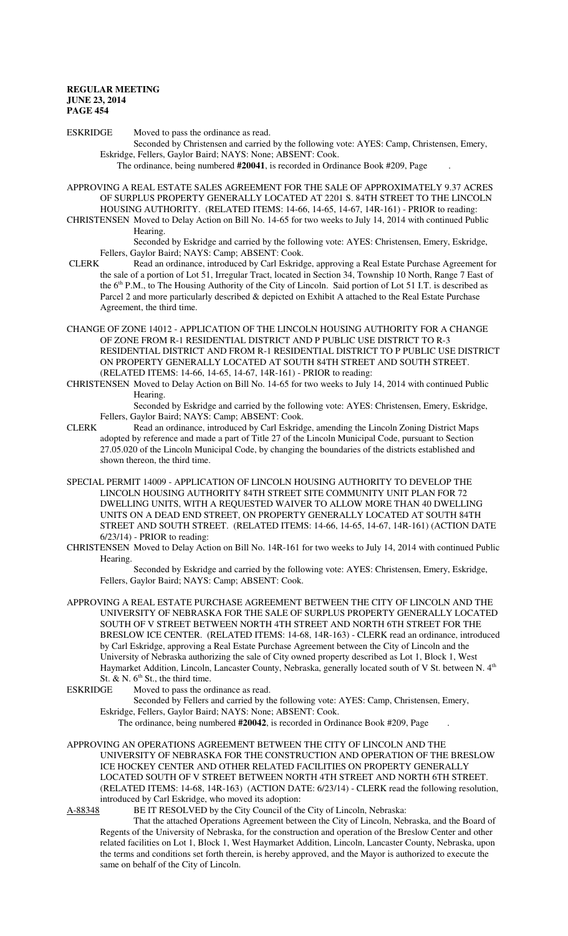ESKRIDGE Moved to pass the ordinance as read.

Seconded by Christensen and carried by the following vote: AYES: Camp, Christensen, Emery, Eskridge, Fellers, Gaylor Baird; NAYS: None; ABSENT: Cook.

The ordinance, being numbered **#20041**, is recorded in Ordinance Book #209, Page .

APPROVING A REAL ESTATE SALES AGREEMENT FOR THE SALE OF APPROXIMATELY 9.37 ACRES OF SURPLUS PROPERTY GENERALLY LOCATED AT 2201 S. 84TH STREET TO THE LINCOLN HOUSING AUTHORITY. (RELATED ITEMS: 14-66, 14-65, 14-67, 14R-161) - PRIOR to reading:

CHRISTENSEN Moved to Delay Action on Bill No. 14-65 for two weeks to July 14, 2014 with continued Public Hearing.

Seconded by Eskridge and carried by the following vote: AYES: Christensen, Emery, Eskridge, Fellers, Gaylor Baird; NAYS: Camp; ABSENT: Cook.<br>CI ERK Read an ordinance introduced by Carl Eskride

- Read an ordinance, introduced by Carl Eskridge, approving a Real Estate Purchase Agreement for the sale of a portion of Lot 51, Irregular Tract, located in Section 34, Township 10 North, Range 7 East of the 6<sup>th</sup> P.M., to The Housing Authority of the City of Lincoln. Said portion of Lot 51 I.T. is described as Parcel 2 and more particularly described & depicted on Exhibit A attached to the Real Estate Purchase Agreement, the third time.
- CHANGE OF ZONE 14012 APPLICATION OF THE LINCOLN HOUSING AUTHORITY FOR A CHANGE OF ZONE FROM R-1 RESIDENTIAL DISTRICT AND P PUBLIC USE DISTRICT TO R-3 RESIDENTIAL DISTRICT AND FROM R-1 RESIDENTIAL DISTRICT TO P PUBLIC USE DISTRICT ON PROPERTY GENERALLY LOCATED AT SOUTH 84TH STREET AND SOUTH STREET. (RELATED ITEMS: 14-66, 14-65, 14-67, 14R-161) - PRIOR to reading:
- CHRISTENSEN Moved to Delay Action on Bill No. 14-65 for two weeks to July 14, 2014 with continued Public Hearing.

Seconded by Eskridge and carried by the following vote: AYES: Christensen, Emery, Eskridge, Fellers, Gaylor Baird; NAYS: Camp; ABSENT: Cook.

- CLERK Read an ordinance, introduced by Carl Eskridge, amending the Lincoln Zoning District Maps adopted by reference and made a part of Title 27 of the Lincoln Municipal Code, pursuant to Section 27.05.020 of the Lincoln Municipal Code, by changing the boundaries of the districts established and shown thereon, the third time.
- SPECIAL PERMIT 14009 APPLICATION OF LINCOLN HOUSING AUTHORITY TO DEVELOP THE LINCOLN HOUSING AUTHORITY 84TH STREET SITE COMMUNITY UNIT PLAN FOR 72 DWELLING UNITS, WITH A REQUESTED WAIVER TO ALLOW MORE THAN 40 DWELLING UNITS ON A DEAD END STREET, ON PROPERTY GENERALLY LOCATED AT SOUTH 84TH STREET AND SOUTH STREET. (RELATED ITEMS: 14-66, 14-65, 14-67, 14R-161) (ACTION DATE 6/23/14) - PRIOR to reading:
- CHRISTENSEN Moved to Delay Action on Bill No. 14R-161 for two weeks to July 14, 2014 with continued Public Hearing.

Seconded by Eskridge and carried by the following vote: AYES: Christensen, Emery, Eskridge, Fellers, Gaylor Baird; NAYS: Camp; ABSENT: Cook.

APPROVING A REAL ESTATE PURCHASE AGREEMENT BETWEEN THE CITY OF LINCOLN AND THE UNIVERSITY OF NEBRASKA FOR THE SALE OF SURPLUS PROPERTY GENERALLY LOCATED SOUTH OF V STREET BETWEEN NORTH 4TH STREET AND NORTH 6TH STREET FOR THE BRESLOW ICE CENTER. (RELATED ITEMS: 14-68, 14R-163) - CLERK read an ordinance, introduced by Carl Eskridge, approving a Real Estate Purchase Agreement between the City of Lincoln and the University of Nebraska authorizing the sale of City owned property described as Lot 1, Block 1, West Haymarket Addition, Lincoln, Lancaster County, Nebraska, generally located south of V St. between N. 4<sup>th</sup> St. & N.  $6<sup>th</sup>$  St., the third time.<br>ESKRIDGE Moved to pass the order

Moved to pass the ordinance as read.

Seconded by Fellers and carried by the following vote: AYES: Camp, Christensen, Emery, Eskridge, Fellers, Gaylor Baird; NAYS: None; ABSENT: Cook.

The ordinance, being numbered **#20042**, is recorded in Ordinance Book #209, Page .

APPROVING AN OPERATIONS AGREEMENT BETWEEN THE CITY OF LINCOLN AND THE UNIVERSITY OF NEBRASKA FOR THE CONSTRUCTION AND OPERATION OF THE BRESLOW ICE HOCKEY CENTER AND OTHER RELATED FACILITIES ON PROPERTY GENERALLY LOCATED SOUTH OF V STREET BETWEEN NORTH 4TH STREET AND NORTH 6TH STREET. (RELATED ITEMS: 14-68, 14R-163) (ACTION DATE: 6/23/14) - CLERK read the following resolution, introduced by Carl Eskridge, who moved its adoption:

A-88348 BE IT RESOLVED by the City Council of the City of Lincoln, Nebraska:

That the attached Operations Agreement between the City of Lincoln, Nebraska, and the Board of Regents of the University of Nebraska, for the construction and operation of the Breslow Center and other related facilities on Lot 1, Block 1, West Haymarket Addition, Lincoln, Lancaster County, Nebraska, upon the terms and conditions set forth therein, is hereby approved, and the Mayor is authorized to execute the same on behalf of the City of Lincoln.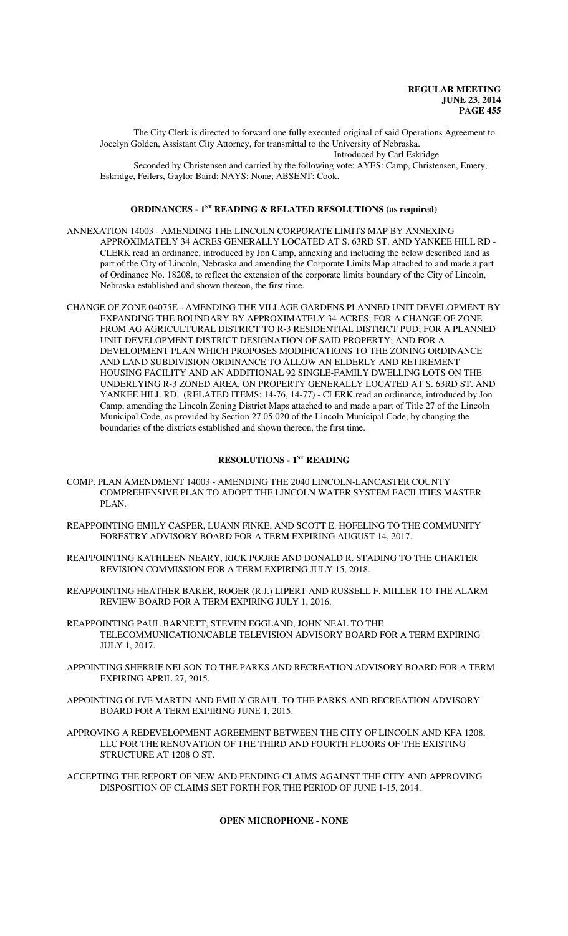The City Clerk is directed to forward one fully executed original of said Operations Agreement to Jocelyn Golden, Assistant City Attorney, for transmittal to the University of Nebraska. Introduced by Carl Eskridge

Seconded by Christensen and carried by the following vote: AYES: Camp, Christensen, Emery, Eskridge, Fellers, Gaylor Baird; NAYS: None; ABSENT: Cook.

#### **ORDINANCES - 1ST READING & RELATED RESOLUTIONS (as required)**

- ANNEXATION 14003 AMENDING THE LINCOLN CORPORATE LIMITS MAP BY ANNEXING APPROXIMATELY 34 ACRES GENERALLY LOCATED AT S. 63RD ST. AND YANKEE HILL RD - CLERK read an ordinance, introduced by Jon Camp, annexing and including the below described land as part of the City of Lincoln, Nebraska and amending the Corporate Limits Map attached to and made a part of Ordinance No. 18208, to reflect the extension of the corporate limits boundary of the City of Lincoln, Nebraska established and shown thereon, the first time.
- CHANGE OF ZONE 04075E AMENDING THE VILLAGE GARDENS PLANNED UNIT DEVELOPMENT BY EXPANDING THE BOUNDARY BY APPROXIMATELY 34 ACRES; FOR A CHANGE OF ZONE FROM AG AGRICULTURAL DISTRICT TO R-3 RESIDENTIAL DISTRICT PUD; FOR A PLANNED UNIT DEVELOPMENT DISTRICT DESIGNATION OF SAID PROPERTY; AND FOR A DEVELOPMENT PLAN WHICH PROPOSES MODIFICATIONS TO THE ZONING ORDINANCE AND LAND SUBDIVISION ORDINANCE TO ALLOW AN ELDERLY AND RETIREMENT HOUSING FACILITY AND AN ADDITIONAL 92 SINGLE-FAMILY DWELLING LOTS ON THE UNDERLYING R-3 ZONED AREA, ON PROPERTY GENERALLY LOCATED AT S. 63RD ST. AND YANKEE HILL RD. (RELATED ITEMS: 14-76, 14-77) - CLERK read an ordinance, introduced by Jon Camp, amending the Lincoln Zoning District Maps attached to and made a part of Title 27 of the Lincoln Municipal Code, as provided by Section 27.05.020 of the Lincoln Municipal Code, by changing the boundaries of the districts established and shown thereon, the first time.

### **RESOLUTIONS - 1ST READING**

- COMP. PLAN AMENDMENT 14003 AMENDING THE 2040 LINCOLN-LANCASTER COUNTY COMPREHENSIVE PLAN TO ADOPT THE LINCOLN WATER SYSTEM FACILITIES MASTER PLAN.
- REAPPOINTING EMILY CASPER, LUANN FINKE, AND SCOTT E. HOFELING TO THE COMMUNITY FORESTRY ADVISORY BOARD FOR A TERM EXPIRING AUGUST 14, 2017.
- REAPPOINTING KATHLEEN NEARY, RICK POORE AND DONALD R. STADING TO THE CHARTER REVISION COMMISSION FOR A TERM EXPIRING JULY 15, 2018.
- REAPPOINTING HEATHER BAKER, ROGER (R.J.) LIPERT AND RUSSELL F. MILLER TO THE ALARM REVIEW BOARD FOR A TERM EXPIRING JULY 1, 2016.
- REAPPOINTING PAUL BARNETT, STEVEN EGGLAND, JOHN NEAL TO THE TELECOMMUNICATION/CABLE TELEVISION ADVISORY BOARD FOR A TERM EXPIRING JULY 1, 2017.
- APPOINTING SHERRIE NELSON TO THE PARKS AND RECREATION ADVISORY BOARD FOR A TERM EXPIRING APRIL 27, 2015.
- APPOINTING OLIVE MARTIN AND EMILY GRAUL TO THE PARKS AND RECREATION ADVISORY BOARD FOR A TERM EXPIRING JUNE 1, 2015.
- APPROVING A REDEVELOPMENT AGREEMENT BETWEEN THE CITY OF LINCOLN AND KFA 1208, LLC FOR THE RENOVATION OF THE THIRD AND FOURTH FLOORS OF THE EXISTING STRUCTURE AT 1208 O ST.
- ACCEPTING THE REPORT OF NEW AND PENDING CLAIMS AGAINST THE CITY AND APPROVING DISPOSITION OF CLAIMS SET FORTH FOR THE PERIOD OF JUNE 1-15, 2014.

#### **OPEN MICROPHONE - NONE**